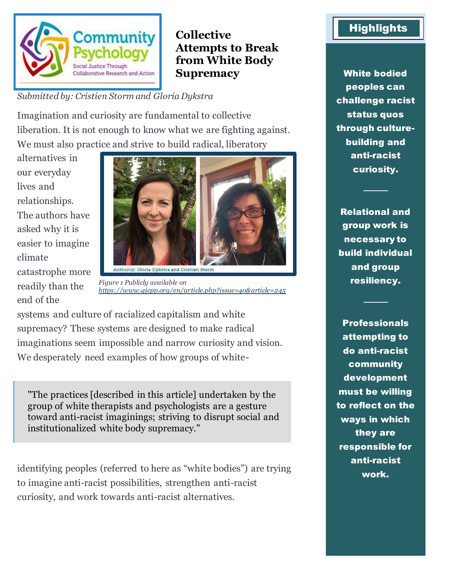

## **Collective Attempts to Break from White Body Supremacy**

*Submitted by: Cristien Storm and Gloria Dykstra*

Imagination and curiosity are fundamental to collective liberation. It is not enough to know what we are fighting against. We must also practice and strive to build radical, liberatory

alternatives in our everyday lives and relationships. The authors have asked why it is easier to imagine climate catastrophe more readily than the end of the



*Figure 1 Publicly available on <https://www.gjcpp.org/en/article.php?issue=40&article=245>*

systems and culture of racialized capitalism and white supremacy? These systems are designed to make radical imaginations seem impossible and narrow curiosity and vision. We desperately need examples of how groups of white-

"The practices [described in this article] undertaken by the group of white therapists and psychologists are a gesture toward anti-racist imaginings; striving to disrupt social and institutionalized white body supremacy."

identifying peoples (referred to here as "white bodies") are trying to imagine anti-racist possibilities, strengthen anti-racist curiosity, and work towards anti-racist alternatives.

## **Highlights**

White bodied peoples can challenge racist status quos through culturebuilding and anti-racist curiosity.

Relational and group work is necessary to build individual and group resiliency.

────

────

**Professionals** attempting to do anti-racist community development must be willing to reflect on the ways in which they are responsible for anti-racist work.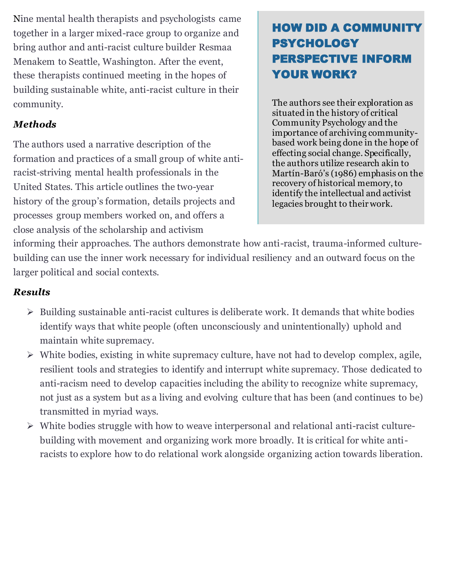Nine mental health therapists and psychologists came together in a larger mixed-race group to organize and bring author and anti-racist culture builder Resmaa Menakem to Seattle, Washington. After the event, these therapists continued meeting in the hopes of building sustainable white, anti-racist culture in their community.

### *Methods*

The authors used a narrative description of the formation and practices of a small group of white antiracist-striving mental health professionals in the United States. This article outlines the two-year history of the group's formation, details projects and processes group members worked on, and offers a close analysis of the scholarship and activism

# HOW DID A COMMUNITY PSYCHOLOGY PERSPECTIVE INFORM YOUR WORK?

The authors see their exploration as situated in the history of critical Community Psychology and the importance of archiving communitybased work being done in the hope of effecting social change. Specifically, the authors utilize research akin to Martín-Baró's (1986) emphasis on the recovery of historical memory, to identify the intellectual and activist legacies brought to their work.

informing their approaches. The authors demonstrate how anti-racist, trauma-informed culturebuilding can use the inner work necessary for individual resiliency and an outward focus on the larger political and social contexts.

### *Results*

- ➢ Building sustainable anti-racist cultures is deliberate work. It demands that white bodies identify ways that white people (often unconsciously and unintentionally) uphold and maintain white supremacy.
- ➢ White bodies, existing in white supremacy culture, have not had to develop complex, agile, resilient tools and strategies to identify and interrupt white supremacy. Those dedicated to anti-racism need to develop capacities including the ability to recognize white supremacy, not just as a system but as a living and evolving culture that has been (and continues to be) transmitted in myriad ways.
- ➢ White bodies struggle with how to weave interpersonal and relational anti-racist culturebuilding with movement and organizing work more broadly. It is critical for white antiracists to explore how to do relational work alongside organizing action towards liberation.